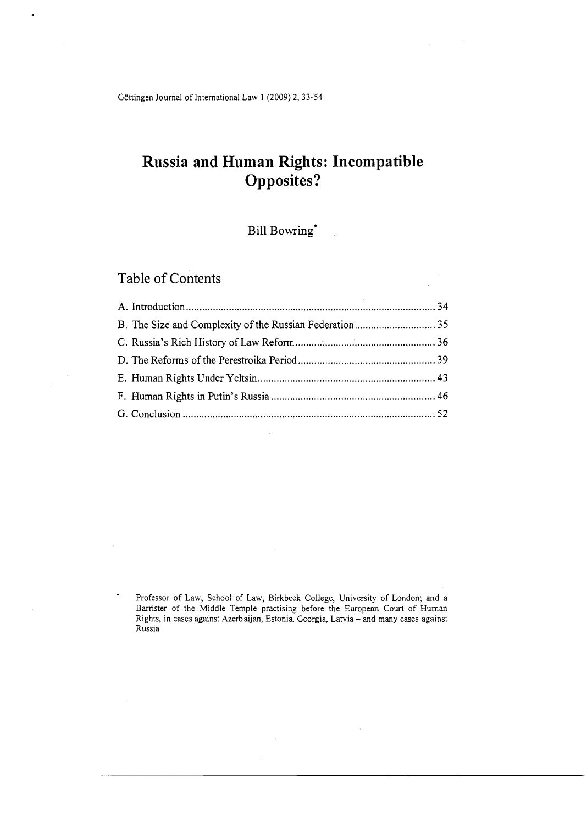Göttingen Journal of International Law 1 (2009) 2, 33-54

# **Russia and Human Rights: Incompatible Opposites?**

## Bill  $\operatorname{Bowring}^*$

## Table of Contents

.,

Professor of Law, School of Law, Birkbeck College, University of London; and a Barrister of the Middle Temple practising before the European Court of Human Rights, in cases against Azerbaijan, Estonia, Georgia, Latvia- and many cases against Russia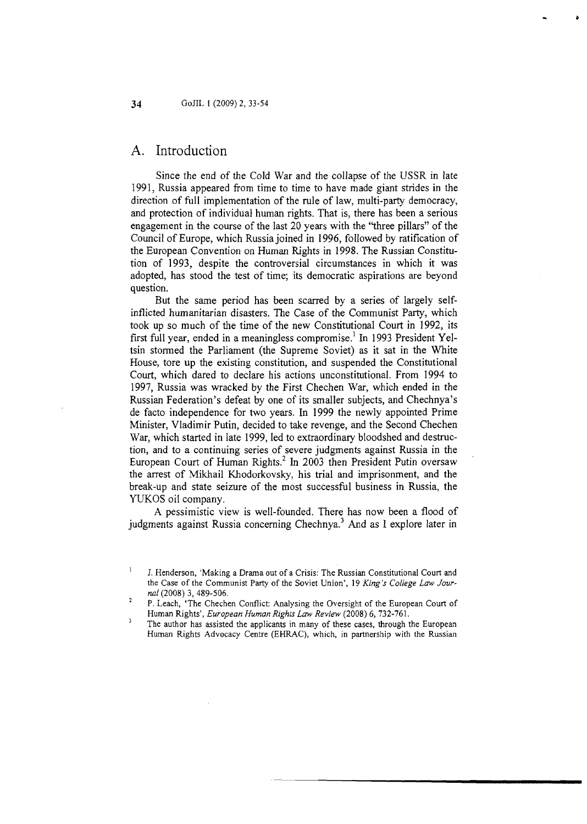#### **A.** Introduction

Since the end of the Cold War and the collapse of the USSR in late 1991, Russia appeared from time to time to have made giant strides in the direction of full implementation of the rule of law, multi-party democracy, and protection of individual human rights. That is, there has been a serious engagement in the course of the last 20 years with the "three pillars" of the Council of Europe, which Russia joined in 1996, followed by ratification of the European Convention on Human Rights in 1998. The Russian Constitution of 1993, despite the controversial circumstances in which it was adopted, has stood the test of time; its democratic aspirations are beyond question.

But the same period has been scarred by a series of largely selfinflicted humanitarian disasters. The Case of the Communist Party, which took up so much of the time of the new Constitutional Court in 1992, its first full year, ended in a meaningless compromise.' In 1993 President Yeltsin stormed the Parliament (the Supreme Soviet) as it sat in the White House, tore up the existing constitution, and suspended the Constitutional Court, which dared to declare his actions unconstitutional. From 1994 to 1997, Russia was wracked by the First Chechen War, which ended in the Russian Federation's defeat by one of its smaller subjects, and Chechnya's de facto independence for two years. In 1999 the newly appointed Prime Minister, Vladimir Putin, decided to take revenge, and the Second Chechen War, which started in late 1999, led to extraordinary bloodshed and destruction, and to a continuing series of severe judgments against Russia in the European Court of Human Rights.<sup>2</sup> In 2003 then President Putin oversaw the arrest of Mikhail Khodorkovsky, his trial and imprisonment, and the break-up and state seizure of the most successful business in Russia, the YUKOS oil company.

A pessimistic view is well-founded. There has now been a flood of judgments against Russia concerning  $Chechnya<sup>3</sup>$  And as I explore later in

 $\mathbf{I}$ J. Henderson, 'Making a Drama out of a Crisis: The Russian Constitutional Court and the Case of the Communist Party of the Soviet Union', 19 *King's College Law Jour-*

*nal* (2008) 3, 489-506. '' *nal* (2008) 3, 489-506. '' P. Leach, 'The Chechen Conflict: Analysing the Oversight of the European Court of Human Rights', *European Human Rights Law Review* (2008) 6,732-761.

 $\overline{\mathbf{3}}$ The author has assisted the applicants in many of these cases, through the European Human Rights Advocacy Centre (EHRAC), which, in partnership with the Russian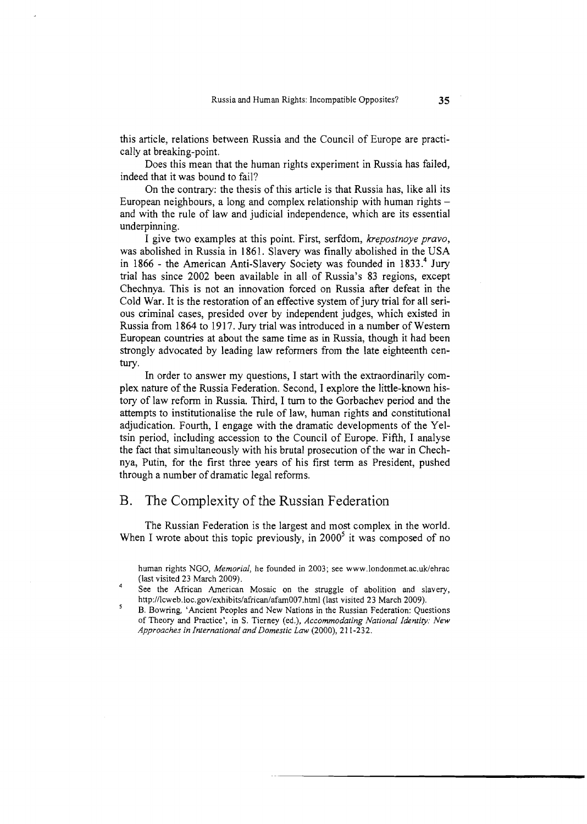this article, relations between Russia and the Council of Europe are practically at breaking-point.

Does this mean that the human rights experiment in Russia has failed, indeed that it was bound to fail?

On the contrary: the thesis of this article is that Russia has, like all its European neighbours, a long and complex relationship with human rights  $$ and with the rule of law and judicial independence, which are its essential underpinning.

I give two examples at this point. First, serfdom, krepostnoye pravo, was abolished in Russia in 1861. Slavery was finally abolished in the USA in 1866 - the American Anti-Slavery Society was founded in 1833.<sup>4</sup> Jury trial has since 2002 been available in all of Russia's 83 regions, except Chechnya. This is not an innovation forced on Russia after defeat in the Cold War. It is the restoration of an effective system of jury trial for all serious criminal cases, presided over by independent judges, which existed in Russia from 1864 to 1917. Jury trial was introduced in a number of Western European countries at about the same time as in Russia, though it had been strongly advocated by leading law reformers from the late eighteenth century.

**Ln** order to answer my questions, I start with the extraordinarily complex nature of the Russia Federation. Second, I explore the little-known history of law reform in Russia. Third, I turn to the Gorbachev period and the attempts to institutionalise the rule of law, human rights and constitutional adjudication. Fourth, I engage with the dramatic developments of the Yeltsin period, including accession to the Council of Europe. Fifth, I analyse the fact that simultaneously with his brutal prosecution of the war in Chechnya, Putin, for the first three years of his first term as President, pushed through a number of dramatic legal reforms.

#### B. The Complexity of the Russian Federation

The Russian Federation is the largest and most complex in the world. When I wrote about this topic previously, in  $2000<sup>5</sup>$  it was composed of no

human rights NGO, Memorial, he founded in 2003; see www.londonmet.ac.uk/ehrac (last visited 23 March 2009).

See the African American Mosaic on the struggle of abolition and slavery, http://lcweb.loc.gov/exhibits/african/afam007.html (last visited 23 March 2009).

<sup>&</sup>lt;sup>5</sup>B. Bowring, 'Ancient Peoples and New Nations in the Russian Federation: Questions of Theory and Practice', in S. Tierney (ed.), *Accommodating National Identity: New Approaches in International and Domestic Law* (2000), 2 1 1-232.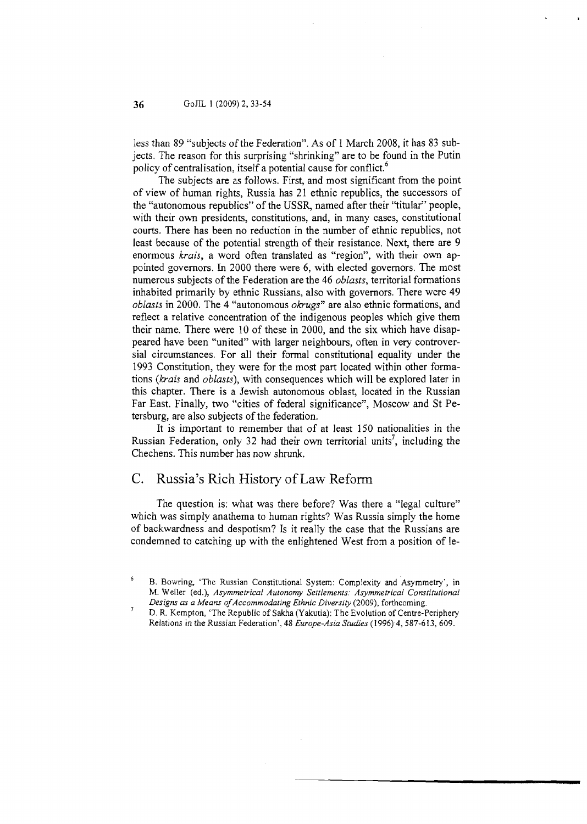less than 89 "subjects of the Federation". As of 1 March 2008, it has 83 subjects. The reason for this surprising "shrinking" are to be found in the Putin policy of centralisation, itself a potential cause for conflict.<sup>6</sup>

The subjects are as follows. First, and most significant from the point of view of human rights, Russia has 21 ethnic republics, the successors of the "autonomous republics" of the USSR, named after their "titular" people, with their own presidents, constitutions, and, in many cases, constitutional courts. There has been no reduction in the number of ethnic republics, not least because of the potential strength of their resistance. Next, there are **9**  enormous krais, a word often translated as "region", with their own appointed governors. **Ln** 2000 there were 6, with elected governors. The most numerous subjects of the Federation are the 46 oblasts, territorial formations inhabited primarily by ethnic Russians, also with governors, There were **49**  oblasts in 2000. The **4** "autonomous okrugs" are also ethnic formations, and reflect a relative concentration of the indigenous peoples which give them their name. There were 10 of these in 2000, and the six which have disappeared have been "united" with larger neighbours, often in very controversial circumstances. For all their formal constitutional equality under the 1993 Constitution, they were for the most part located within other formations (krais and oblasts), with consequences which will be explored later in this chapter. There is a Jewish autonomous oblast, located in the Russian Far East. Finally, two "cities of federal significance", Moscow and St Petersburg, are also subjects of the federation.

It is important to remember that of at least 150 nationalities in the Russian Federation, only 32 had their own territorial units<sup>7</sup>, including the Chechens. This number has now shrunk.

#### C. Russia's Rich History of Law Reform

The question is: what was there before? Was there a "legal culture" which was simply anathema to human rights? Was Russia simply the home of backwardness and despotism? Is it really the case that the Russians are condemned to catching up with the enlightened West from a position of le-

B. Bowring, 'The Russian Constitutional System: Complexity and Asymmetry', in M. Weller (ed.), *Asymmetrical Autonomy Settlements: Asymmetrical Constitutional*  Designs as a Means of Accommodating Ethnic Diversity (2009), forthcoming.

*D.* R. Kempton, 'The Republic of Sakha (Yakutia): The Evolution of Centre-Periphery Relations in the Russian Federation', 48 *Europe-Asia Studies* (1996) 4,587-6 13, 609.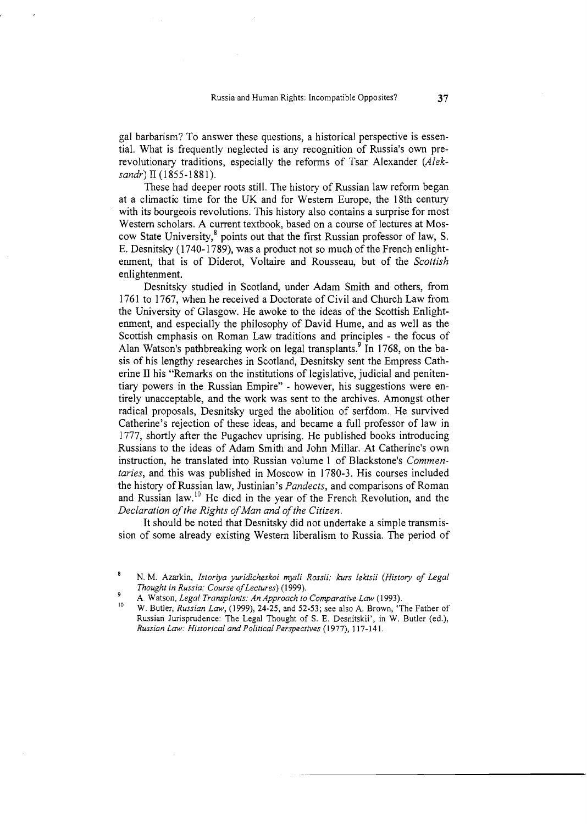gal barbarism? To answer these questions, a historical perspective is essential. What is frequently neglected is any recognition of Russia's own prerevolutionary traditions, especially the reforms of Tsar Alexander (Aleksandr) I1 (1855-1881).

These had deeper roots still. The history of Russian law reform began at a climactic time for the UK and for Western Europe, the 18th century with its bourgeois revolutions. This history also contains a surprise for most Western scholars. A current textbook, based on a course of lectures at Moscow State University,<sup>8</sup> points out that the first Russian professor of law, S. E. Desnitsky (1740-1789), was a product not so much of the French enlightenment, that is of Diderot. Voltaire and Rousseau, but of the Scottish enlightenment.

Desnitsky studied in Scotland, under Adam Smith and others, from 1761 to 1767, when he received a Doctorate of Civil and Church Law from the University of Glasgow. He awoke to the ideas of the Scottish Enlightenment, and especially the philosophy of David Hume, and as well as the Scottish emphasis on Roman Law traditions and principles - the focus of Alan Watson's pathbreaking work on legal transplants.<sup>9</sup> In 1768, on the basis of his lengthy researches in Scotland, Desnitsky sent the Empress Catherine I1 his "Remarks on the institutions of legislative, judicial and penitentiary powers in the Russian Empire" - however, his suggestions were entirely unacceptable, and the work was sent to the archives. Amongst other radical proposals, Desnitsky urged the abolition of serfdom. He survived Catherine's rejection of these ideas, and became a full professor of law in 1777, shortly after the Pugachev uprising. He published books introducing Russians to the ideas of Adam Smith and John Millar. At Catherine's own instruction, he translated into Russian volume 1 of Blackstone's Commentaries, and this was published in Moscow in 1780-3. His courses included the history of Russian law, Justinian's Pandects, and comparisons of Roman and Russian law.'' He died in the year of the French Revolution, and the Declaration of the Rights of Man and of the Citizen.

It should be noted that Desnitsky did not undertake a simple transmission of some already existing Western liberalism to Russia. The period of

**<sup>8</sup>**N. M. Azarkin, *Istoriya yuridicheskoi mysli Rossii: kurs lektsii (History of Legal Thought in Russia: Course of Lectures*) (1999).<br>A. Watson, *Legal Transplants: An Approach to Comparative Law* (1993).

A. Watson, *Legal Transplants: An Approach to Comparative Law (1993).* **I0** W. Butler, *Russian Law, (1999),* 24-25, and 52-53; see also A. Brown, 'The Father of Russian Jurisprudence: The Legal Thought of S. E. Desnitskii', in W. Butler (ed.), *Russian Law: Historical and Political Perspectives (1 977), 1 17-1* 4 *1.*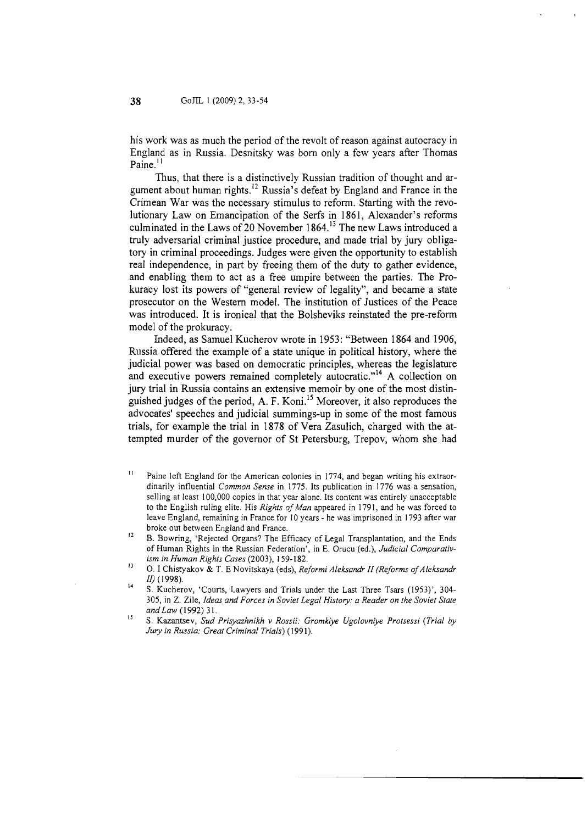his work was as much the period of the revolt of reason against autocracy in England as in Russia. Desnitsky was born only a few years after Thomas  $Paine.$ <sup> $11$ </sup>

Thus, that there is a distinctively Russian tradition of thought and argument about human rights,<sup>12</sup> Russia's defeat by England and France in the Crimean War was the necessary stimulus to reform. Starting with the revolutionary Law on Emancipation of the Serfs in 1861, Alexander's reforms culminated in the Laws of 20 November 1864.<sup>13</sup> The new Laws introduced a truly adversarial criminal justice procedure, and made trial by jury obligatory in criminal proceedings. Judges were given the opportunity to establish real independence, in part by freeing them of the duty to gather evidence, and enabling them to act as a free umpire between the parties. The Prokuracy lost its powers of "general review of legality", and became a state prosecutor on the Western model. The institution of Justices of the Peace was introduced. It is ironical that the Bolsheviks reinstated the pre-reform model of the prokuracy.

Indeed, as Samuel Kucherov wrote in 1953: "Between 1864 and 1906, Russia offered the example of a state unique in political history, where the judicial power was based on democratic principles, whereas the legislature and executive powers remained completely autocratic."<sup>14</sup> A collection on jury trial in Russia contains an extensive memoir by one of the most distinguished judges of the period, A. F. Koni.<sup>15</sup> Moreover, it also reproduces the advocates' speeches and judicial summings-up in some of the most famous trials, for example the trial in 1878 of Vera Zasulich, charged with the attempted murder of the governor of St Petersburg, Trepov, whom she had

- $11$  Paine left England for the American colonies in 1774, and began writing his extraordinarily influential *Common Sense* in 1775. Its publication in I776 **was** a sensation, selling at least 100,000 copies in that year alone. Its content was entirely unacceptable to the English ruling elite. His *Rights of Man* appeared in 1791, and he was forced to leave England, remaining in France for 10 years - he was imprisoned in 1793 after war broke out between England and France.
- $12$ B. Bowring, 'Rejected Organs? The Efficacy of Legal Transplantation, and the Ends of Human Rights in the Russian Federation', in E. Orucu (ed.), *Judicial Comparativism in Human Rights Cases* (2003), 159-182.
- **<sup>13</sup>**0. I Chistyakov & T. E Novitskaya (eds), *Reformi Aleksandr II (Reforms of Aleksandr 11')* (1998).
- **14**  S. Kucherov, 'Courts, Lawyers and Trials under the Last Three Tsars (1953)', 304- 305, in Z. Zile, *Ideas and Forces in Soviet Legal History: a Reader on the Soviet State* and Law (1992) 31.
- **I5** S. Kazantsev, *Sud Prisyazhnikh v Rossii: Gromkiye Ugolovniye Protsessi (Trial by Jury in Russia: Great Criminal Trials)* (1991).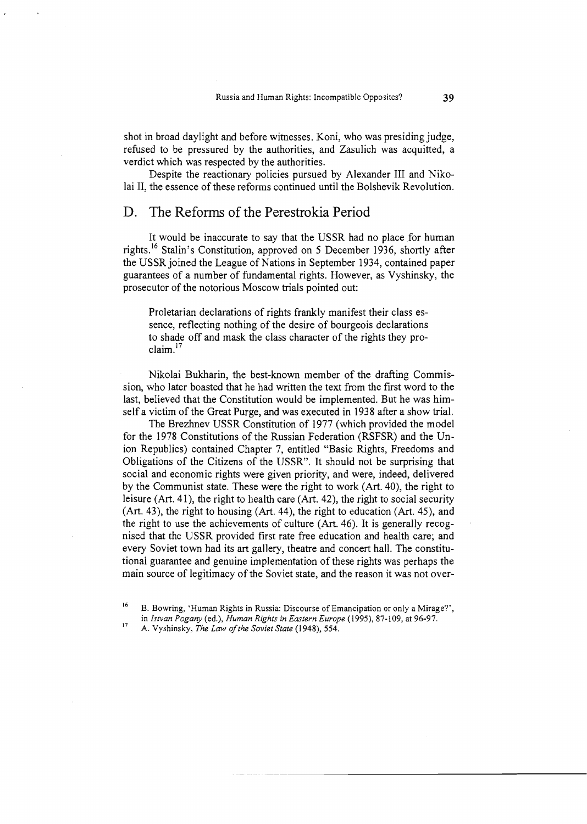shot in broad daylight and before witnesses. Koni, who was presiding judge, refused to be pressured by the authorities, and Zasulich was acquitted, a verdict which was respected by the authorities.

Despite the reactionary policies pursued by Alexander I11 and Nikolai 11, the essence of these reforms continued until the Bolshevik Revolution.

#### D. The Reforms of the Perestrokia Period

It would be inaccurate to say that the USSR had no place for human rights.16 Stalin's Constitution, approved on 5 December 1936, shortly after the USSR joined the League of Nations in September 1934, contained paper guarantees of a number of fundamental rights. However, as Vyshinsky, the prosecutor of the notorious Moscow trials pointed out:

Proletarian declarations of rights frankly manifest their class essence, reflecting nothing of the desire of bourgeois declarations to shade off and mask the class character of the rights they proclaim.<sup>17</sup>

Nikolai Bukharin, the best-known member of the drafting Commission, who later boasted that he had written the text from the first word to the last, believed that the Constitution would be implemented. But he was himself a victim of the Great Purge, and was executed in 1938 after a show trial.

The Brezhnev USSR Constitution of 1977 (which provided the model for the 1978 Constitutions of the Russian Federation (RSFSR) and the Union Republics) contained Chapter 7, entitled "Basic Rights, Freedoms and Obligations of the Citizens of the USSR". It should not be surprising that social and economic rights were given priority, and were, indeed, delivered by the Communist state. These were the right to work (Art. 40), the right to leisure (Art. 4 I), the right to health care (Art. 42), the right to social security (Art. 43), the right to housing (Art. 44), the right to education (Art. 45), and the right to use the achievements of culture (Art. 46). It is generally recognised that the USSR provided first rate free education and health care; and every Soviet town had its art gallery, theatre and concert hall. The constitutional guarantee and genuine implementation of these rights was perhaps the main source of legitimacy of the Soviet state, and the reason it was not over-

<sup>&</sup>lt;sup>16</sup> B. Bowring, 'Human Rights in Russia: Discourse of Emancipation or only a Mirage?', in *Istvan Pogary* (ed.), *Human Rights in Eastern Europe* (1995), 87-109, at 96-97. **<sup>17</sup>**A. Vyshinsky, *The* Law *of the Soviet State* (1948), 554.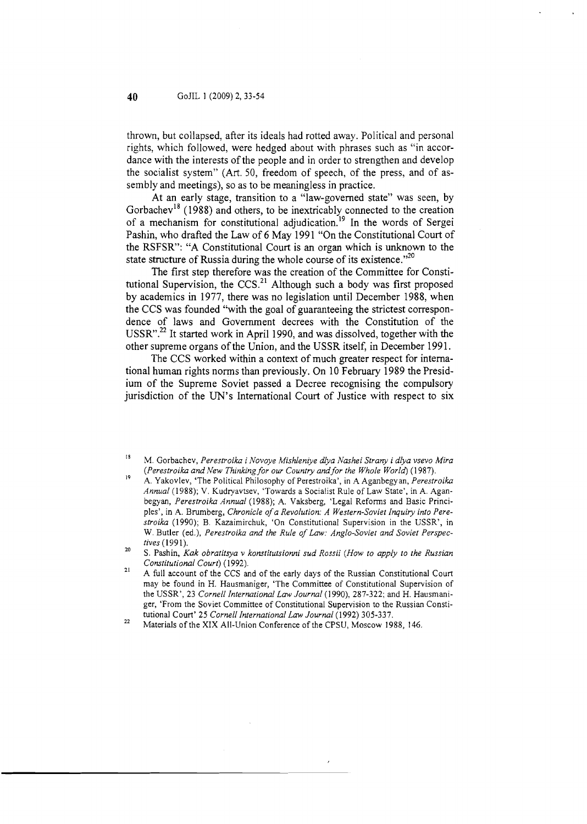thrown, but collapsed, after its ideals had rotted away. Political and personal rights, which followed, were hedged about with phrases such as "in accordance with the interests of the people and in order to strengthen and develop the socialist system" (Art. 50, freedom of speech, of the press, and of assembly and meetings), so as to be meaningless in practice.

At an early stage, transition to a "law-governed state" was seen, by Gorbachev<sup>18</sup> (1988) and others, to be inextricably connected to the creation of a mechanism for constitutional adjudication.<sup>19</sup> In the words of Sergei Pashin, who drafted the Law of 6 May 1991 "On the Constitutional Court of the RSFSR": "A Constitutional Court is an organ which is unknown to the state structure of Russia during the whole course of its existence."<sup>20</sup>

The first step therefore was the creation of the Committee for Constitutional Supervision, the CCS. $^{21}$  Although such a body was first proposed by academics in 1977, there was no legislation until December 1988, when the CCS was founded "with the goal of guaranteeing the strictest correspondence of laws and Government decrees with the Constitution of the USSR".<sup>22</sup> It started work in April 1990, and was dissolved, together with the other supreme organs of the Union, and the USSR itself, in December 1991.

The CCS worked within a context of much greater respect for international human rights norms than previously. On 10 February 1989 the Presidium of the Supreme Soviet passed a Decree recognising the compulsory jurisdiction of the UN's International Court of Justice with respect to six

**<sup>19</sup>**A. Yakovlev, 'The Political Philosophy of Perestroika', in A Aganbegy an, *Perestroika Annual (1988); V.* Kudryavtsev, 'Towards a Socialist Rule of Law State', in *A.* Aganbegyan, *Perestroika Annual (1988); A.* Vaksberg, 'Legal Reforms and Basic Principles', in A. Brumberg, *Chronicle of a Revolution: A Western-Soviet Inquiry into Perestroika (1990);* B. Kazaimirchuk, 'On Constitutional Supervision in the USSR', in W. Butler (ed.), *Perestroika and the Rule of Law: Anglo-Soviet and Soviet Perspec-*

- <sup>21</sup> A full account of the CCS and of the early days of the Russian Constitutional Court may be found in H. Hausmaniger, 'The Committee of Constitutional Supervision of the USSR', 23 Cornell International Law Journal (1990), 287-322; and H. Hausmaniger, 'From the Soviet Committee of Constitutional Supervision to the Russian Consti-
- tutional Court' *25 Cornell International Law Journal (1992) 305-337.* **<sup>22</sup>**Materials of the XIX All-Union Conference of the CPSU, Moscow *1988, 146.*

<sup>&</sup>lt;sup>18</sup>M. Gorbachev, *Perestroika i Novoye Mishleniye dlya Nashei Strany i dlya vsevo Mira (Perestroika and New Thinking for our Country andfor the Whole World) (1 987).* 

*tives* (1991).<br>S. Pashin, *Kak obratitsya v konstitutsionni sud Rossii (How to apply to the Russian Constitutional Court) (1992).*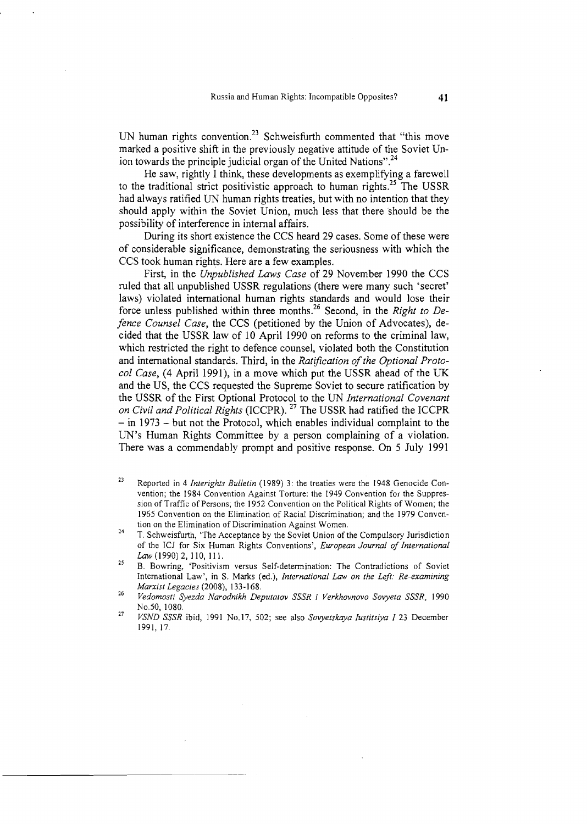UN human rights convention.<sup>23</sup> Schweisfurth commented that "this move marked a positive shift in the previously negative attitude of the Soviet Union towards the principle judicial organ of the United Nations".<sup>24</sup>

He saw, rightly I think, these developments as exemplifying a farewell to the traditional strict positivistic approach to human rights.<sup>25</sup> The USSR had always ratified UN human rights treaties, but with no intention that they should apply within the Soviet Union, much less that there should be the possibility of interference in internal affairs.

During its short existence the CCS heard 29 cases. Some of these were of considerable significance, demonstrating the seriousness with which the CCS took human rights. Here are a few examples.

First, in the *Unpublished Laws Case* of 29 November 1990 the CCS ruled that all unpublished USSR regulations (there were many such 'secret' laws) violated international human rights standards and would lose their force unless published within three months.26 Second, in the *Right to Defence Counsel Case,* the CCS (petitioned by the Union of Advocates), decided that the USSR law of 10 April 1990 on reforms to the criminal law, which restricted the right to defence counsel, violated both the Constitution and international standards. Third, in the *Ratification of the Optional Protocol Case, (4* April 1991), in a move which put the USSR ahead of the LK and the US, the CCS requested the Supreme Soviet to secure ratification by the USSR of the First Optional Protocol to the UN *International Covenant on Civil and Political Rights* (ICCPR). 27 The USSR had ratified the ICCPR  $-$  in 1973  $-$  but not the Protocol, which enables individual complaint to the UN's Human Rights Committee by a person complaining of a violation. There was a commendably prompt and positive response. On 5 July 1991

- tion on the Elimination of Discrimination Against Women. **<sup>24</sup>**T. Schweisfurth, 'The Acceptance by the Soviet Union of the Compulsory Jurisdiction of the ICJ for Six Human Rights Conventions', *European Journal of International*  Law (1990) 2, 110, 111.
- <sup>25</sup>B. Bowring, 'Positivism versus Self-determination: The Contradictions of Soviet International Law', in S. Marks (ed.), *International Law on the Left: Re-examining*
- *Marxist Legacies* (2008), 133-1 *68.* **<sup>26</sup>***Vedomosti Syezda Narodnikh Deputatov SSSR i Verkhovnovo Sovyeta SSSR,* <sup>1990</sup>
- No.50, 1080. **<sup>27</sup>***VSND SSSR* ibid, 1991 No.17, 502; see also *Sovyetskaya Iustitsiya I* 23 December 1991, 17.

**<sup>23</sup>**Reported in 4 *Interights Bulletin* (1989) 3: the treaties were the 1948 Genocide Convention; the 1984 Convention Against Torture: the 1949 Convention for the Suppression of Traffic of Persons; the 1952 Convention on the Political Rights of Women; the 1965 Convention on the Elimination of Racial Discrimination; and the 1979 Conven-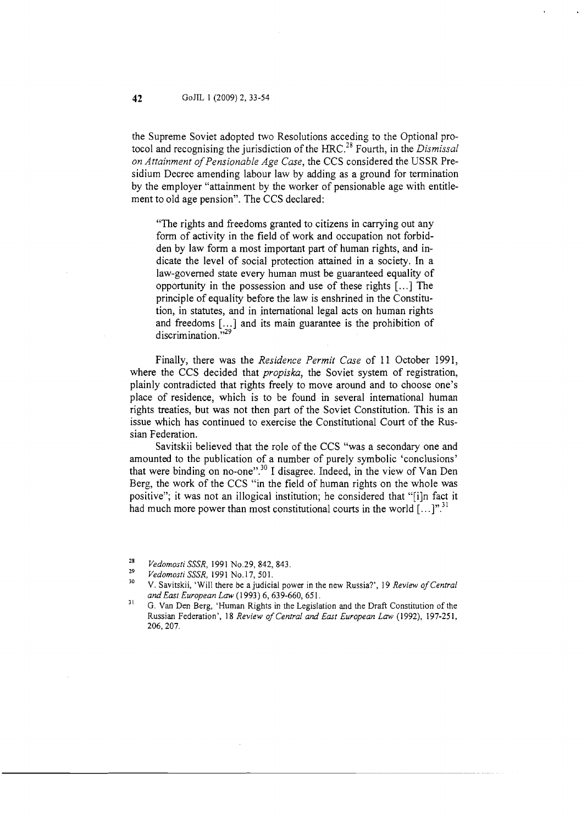the Supreme Soviet adopted two Resolutions acceding to the Optional protocol and recognising the jurisdiction of the HRC.<sup>28</sup> Fourth, in the Dismissal on Attainment of Pensionable Age Case, the CCS considered the USSR Presidium Decree amending labour law by adding as a ground for termination by the employer "attainment by the worker of pensionable age with entitlement to old age pension". The CCS declared:

"The rights and freedoms granted to citizens in carrying out any form of activity in the field of work and occupation not forbidden by law form a most important part of human rights, and indicate the level of social protection attained in a society. In a law-governed state every human must be guaranteed equality of opportunity in the possession and use of these rights [. . .] The principle of equality before the law is enshrined in the Constitution, in statutes, and in international legal acts on human rights and freedoms [...] and its main guarantee is the prohibition of discrimination."<sup>29</sup>

Finally, there was the Residence Permit Case of 11 October 1991, where the CCS decided that *propiska*, the Soviet system of registration, plainly contradicted that rights freely to move around and to choose one's place of residence, which is to be found in several international human rights treaties, but was not then part of the Soviet Constitution. This is an issue which has continued to exercise the Constitutional Court of the Russian Federation.

Savitskii believed that the role of the CCS "was a secondary one and amounted to the publication of a number of purely symbolic 'conclusions' that were binding on no-one".<sup>30</sup> I disagree. Indeed, in the view of Van Den Berg, the work of the CCS "in the field of human rights on the whole was positive"; it was not an illogical institution; he considered that "[i]n fact it had much more power than most constitutional courts in the world  $[\dots]^n$ <sup>31</sup>

<sup>&</sup>lt;sup>28</sup> *Vedomosti SSSR*, 1991 No.29, 842, 843.<br><sup>29</sup> *Vedomosti SSSR*, 1991 No.17, 501.<br><sup>30</sup> V. Savitskii, 'Will there be a judicial power in the new Russia?', 19 *Review of Central and East European Law* (1993) 6, 639-660, 651.

**<sup>3</sup>**<sup>1</sup>G. Van Den Berg, **'Human** Rights in the Legislation and the Draft Constitution of the Russian Federation', 18 *Review of Central and East European Law* (1992), 197-251, 206,207.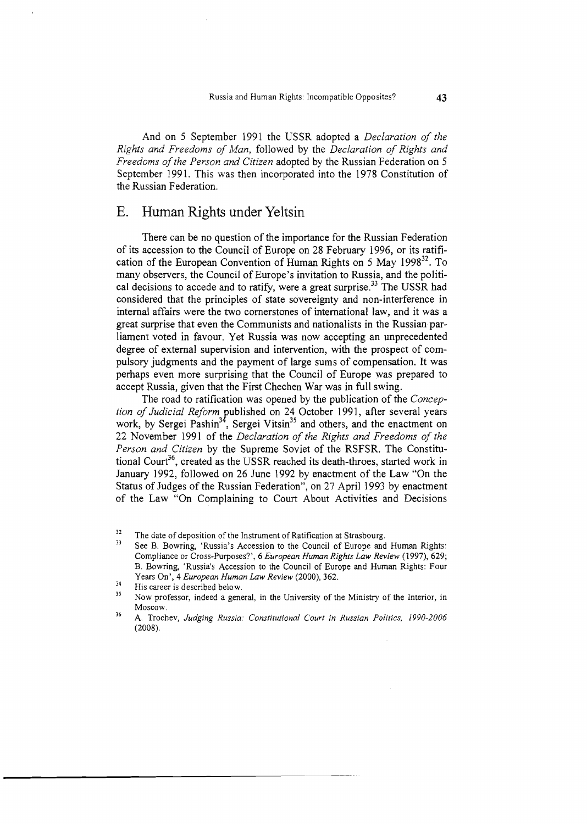And on *5* September 1991 the USSR adopted a *Declaration of the Rights and Freedoms of Man,* followed by the *Declaration of Rights and Freedoms of the Person and Citizen* adopted by the Russian Federation on *5*  September 1991. This was then incorporated into the 1978 Constitution of the Russian Federation.

#### E. Human Rights under Yeltsin

There can be no question of the importance for the Russian Federation of its accession to the Council of Europe on 28 February 1996, or its ratification of the European Convention of Human Rights on 5 May 1998<sup>32</sup>. To many observers, the Council of Europe's invitation to Russia, and the political decisions to accede and to ratify, were a great surprise.<sup>33</sup> The USSR had considered that the principles of state sovereignty and non-interference in internal affairs were the two cornerstones of international law, and it was a great surprise that even the Communists and nationalists in the Russian-parliarnent voted in favour. Yet Russia was now accepting an unprecedented degree of external supervision and intervention, with the prospect of compulsory judgments and the payment of large sums of compensation. It was perhaps even more surprising that the Council of Europe was prepared to accept Russia, given that the First Chechen War was in full swing.

The road to ratification was opened by the publication of the *Conception of Judicial Reform* ublished on 24 October 1991, after several years work, by Sergei Pashin<sup>34</sup>, Sergei Vitsin<sup>35</sup> and others, and the enactment on 22 November 1991 of the *Declaration of the Rights and Freedoms of the Person and Citizen* by the Supreme Soviet of the RSFSR. The Constitutional Court<sup>36</sup>, created as the USSR reached its death-throes, started work in January 1992, followed on 26 June 1992 by enactment of the Law "On the Status of Judges of the Russian Federation", on 27 April 1993 by enactment of the Law "On Complaining to Court About Activities and Decisions

<sup>&</sup>lt;sup>32</sup> The date of deposition of the Instrument of Ratification at Strasbourg.<br><sup>33</sup> See P. Permise, there is a consistent at a Group of France and

**<sup>33</sup>**See B. Bowring, 'Russia's Accession to the Council of Europe and Human Rights: Compliance or Cross-Purposes?', *6 European Human Rights Law Review (1997), 629; B.* Bowring, 'Russia's Accession to the Council of Europe and Human Rights: Four Years On', 4 *European Human Law Review (2000),* 362.

<sup>34</sup> His career is described below.

<sup>&</sup>lt;sup>35</sup> Now professor, indeed a general, in the University of the Ministry of the Interior, in Moscow.

**<sup>36</sup>**A. Trochev, *Judging Russia: Constitutional Court in Russian Politics, 1990-2006 (2008).*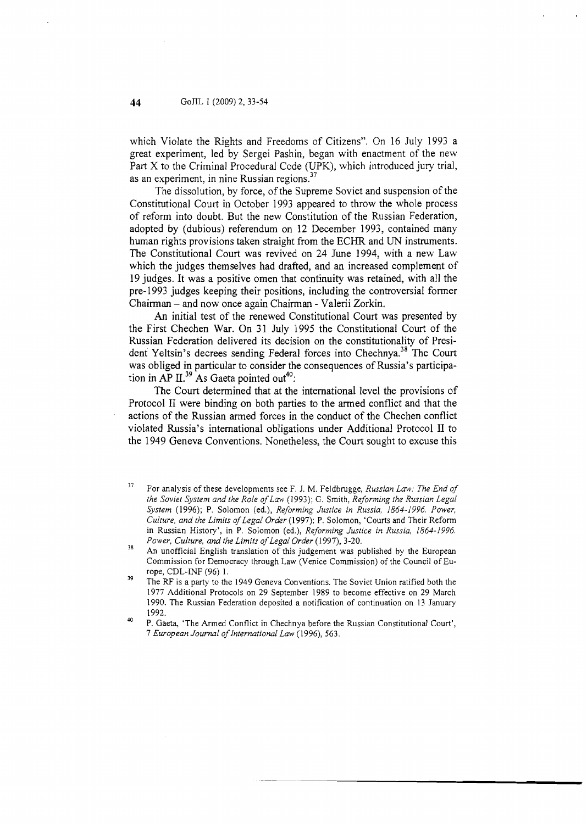which Violate the Rights and Freedoms of Citizens". On 16 July 1993 a great experiment, led by Sergei Pashin, began with enactment of the new Part X to the Criminal Procedural Code (UPK), which introduced jury trial, as an experiment, in nine Russian regions.<sup>37</sup>

The dissolution, by force, of the Supreme Soviet and suspension of the Constitutional Court in October 1993 appeared to throw the whole process of reform into doubt. But the new Constitution of the Russian Federation, adopted by (dubious) referendum on 12 December 1993, contained many human rights provisions taken straight from the ECHR and UN instruments. The Constitutional Court was revived on 24 June 1994, with a new Law which the judges themselves had drafted, and an increased complement of 19 judges. It was a positive omen that continuity was retained, with all the pre-1993 judges keeping their positions, including the controversial former Chairman - and now once again Chairman - Valerii Zorkin.

**An** initial test of the renewed Constitutional Court was presented by the First Chechen War. On 31 July 1995 the Constitutional Court of the Russian Federation delivered its decision on the constitutionality of President Yeltsin's decrees sending Federal forces into Chechnya.<sup>38</sup> The Court was obliged in particular to consider the consequences of Russia's participation in AP II.<sup>39</sup> As Gaeta pointed out<sup>40</sup>:

The Court determined that at the international level the provisions of Protocol I1 were binding on both parties to the armed conflict and that the actions of the Russian armed forces in the conduct of the Chechen conflict violated Russia's international obligations under Additional Protocol I1 to the 1949 Geneva Conventions. Nonetheless, the Court sought to excuse this

44

<sup>37</sup> For analysis of these developments see F. J. M. Feldbrugge; *Russian Law: The End of the Soviet System and the Role ofLaw* (1993); *G.* Smith; *Reforming the Russian Legal System* (1996); P. Solomon (ed.), *Reforming Justice in Russia, 1864-1996. Power, Culture, and the Limits of Legal Order* (1997); P. Solomon, 'Courts and Their Reform in Russian History', in P. Solomon (ed.), *Reforming Justice in Russia*, 1864-1996.<br>Power, Culture, and the Limits of Legal Order (1997), 3-20.

<sup>&</sup>lt;sup>38</sup> An unofficial English translation of this judgement was published by the European Commission for Democracy through Law (Venice Commission) of the Council of Europe, CDL-INF (96) 1.

<sup>&</sup>lt;sup>39</sup> The RF is a party to the 1949 Geneva Conventions. The Soviet Union ratified both the 1977 Additional Protocols on 29 September 1989 to become effective on 29 March 1990. The Russian Federation deposited a notification of continuation on 13 January 1992.

**<sup>40</sup>**  P. Gaeta, 'The Armed Conflict in Chechnya before the Russian Constitutional Court', 7 *European Journal oflnfernational Law* (1996), *563.*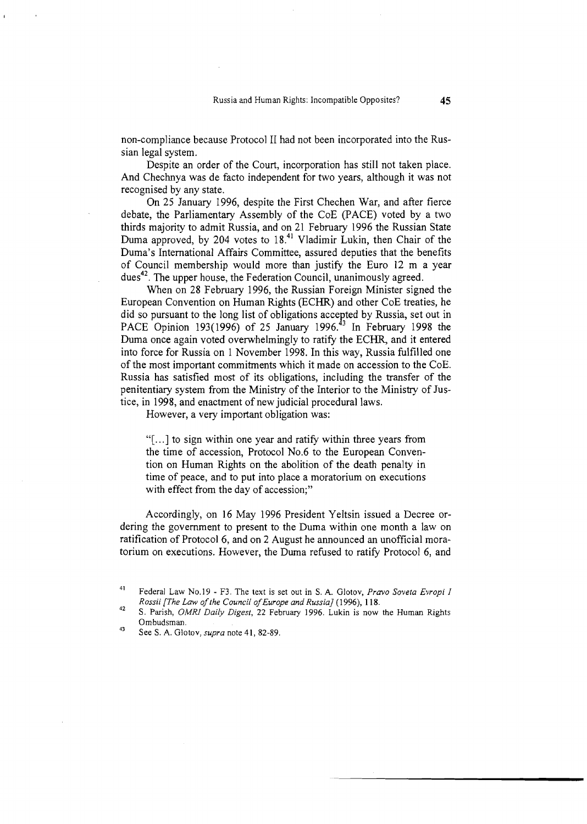non-compliance because Protocol I1 had not been incorporated into the Russian legal system.

Despite an order of the Court, incorporation has still not taken place. And Chechnya was de facto independent for two years, although it was not recognised by any state.

On 25 January 1996, despite the First Chechen War, and after fierce debate, the Parliamentary Assembly of the CoE (PACE) voted by a two thirds majority to admit Russia, and on 21 February 1996 the Russian State Duma approved, by 204 votes to  $18<sup>41</sup>$  Vladimir Lukin, then Chair of the Duma's International Affairs Committee, assured deputies that the benefits of Council membership would more than justify the Euro 12 m a year dues<sup>42</sup>. The upper house, the Federation Council, unanimously agreed.

When on 28 February 1996, the Russian Foreign Minister signed the European Convention on Human Rights (ECHR) and other CoE treaties, he did so pursuant to the long list of obligations accepted by Russia, set out in PACE Opinion 193(1996) of 25 January 1996.<sup>43</sup> In February 1998 the Duma once again voted overwhelmingly to ratify the ECHR, and it entered into force for Russia on 1 November 1998. In this way, Russia fulfilled one of the most important commitments which it made on accession to the CoE. Russia has satisfied most of its obligations, including the transfer of the penitentiary system from the Ministry of the Interior to the Ministry of Justice, in 1998, and enactment of new judicial procedural laws.

However, a very important obligation was:

"[ ...I to sign within one year and ratify within three years from the time of accession, Protocol No.6 to the European Convention on Human Rights on the abolition of the death penalty in time of peace, and to put into place a moratorium on executions with effect from the day of accession;"

Accordingly, on 16 May 1996 President Yeltsin issued a Decree ordering the government to present to the Duma within one month a law on ratification of Protocol 6, and on 2 August he announced an unofficial moratorium on executions. However, the Duma refused to ratify Protocol 6, and

**<sup>4&#</sup>x27;** Federal Law No.19 - F3. The text is set out in S. A. Glotov, *Pravo Soveta Evropi I* 

*Rossii [The Law ofthe Council ofEurope and Russia]* (1996), *11* 8. **<sup>42</sup>**S. Parish, *OMRI Daily Digest,* 22 February 1996. Lukin is now the Human Rights Ombudsman.

**<sup>43</sup>**See S. A. Glotov, *supra* note 41, 82-89.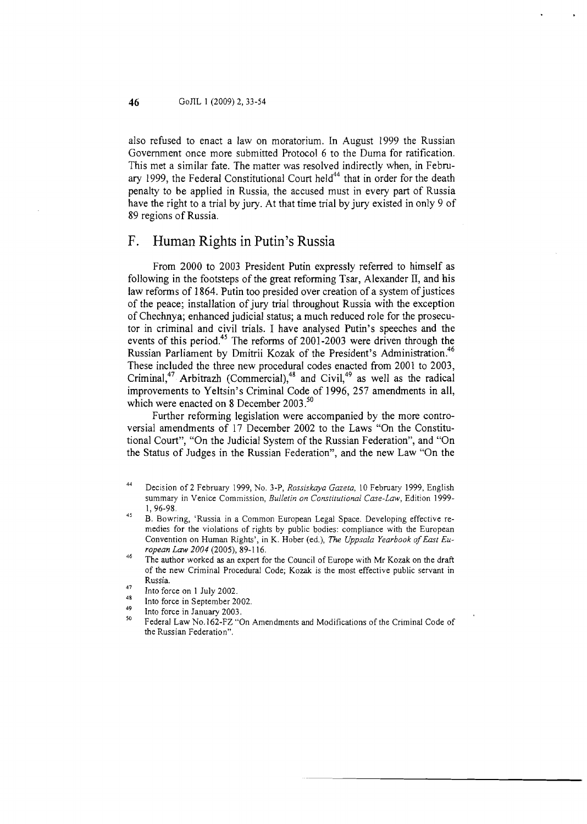also refused to enact a law on moratorium. In August 1999 the Russian Government once more submitted Protocol 6 to the Duma for ratification. This met a similar fate. The matter was resolved indirectly when, in February 1999, the Federal Constitutional Court held<sup>44</sup> that in order for the death penalty to be applied in Russia, the accused must in every part of Russia have the right to a trial by jury. At that time trial by jury existed in only 9 of 89 regions of Russia.

### F. Human Rights in Putin's Russia

From 2000 to 2003 President Putin expressly referred to himself as following in the footsteps of the great reforming Tsar, Alexander 11, and his law reforms of 1864. Putin too presided over creation of a system of justices of the peace; installation of jury trial throughout Russia with the exception of Chechnya; enhanced judicial status; a much reduced role for the prosecutor in criminal and civil trials. I have analysed Putin's speeches and the events of this period.<sup>45</sup> The reforms of 2001-2003 were driven through the Russian Parliament by Dmitrii Kozak of the President's Administration.<sup>46</sup> These included the three new procedural codes enacted from 2001 to 2003, Criminal,<sup>47</sup> Arbitrazh (Commercial),<sup>46</sup> and Civil,<sup>49</sup> as well as the radical improvements to Yeltsin's Criminal Code of 1996, 257 amendments in all, which were enacted on 8 December  $2003.^{50}$ 

Further reforming legislation were accompanied by the more controversial amendments of 17 December 2002 to the Laws "On the Constitutional Court", "On the Judicial System of the Russian Federation", and "On the Status of Judges in the Russian Federation", and the new Law "On the

- **<sup>44</sup>**Decision of 2 February 1999, No. 3-P, *Rossiskaya Gazeta,* I0 February 1999, English summary in Venice Commission, *Bulletin on Constitutional Case-Law,* Edition 1999-
- 1, 96-98.<br><sup>45</sup> B. Bowring, 'Russia in a Common European Legal Space. Developing effective remedies for the violations of rights by public bodies: compliance with the European Convention on Human Rights', in K. Hober (ed.), *The Uppsala Yearbook of East European Law 2004* (2005), 89-1 16.
- <sup>46</sup> The author worked as an expert for the Council of Europe with Mr Kozak on the draft of the new Criminal Procedural Code; Kozak is the most effective public servant in Russia.
- <sup>47</sup> Into force on 1 July 2002.
- <sup>48</sup> Into force in September 2002.
- 
- Into force in January 2003.<br>Federal Law No. 162-FZ "On Amendments and Modifications of the Criminal Code of the Russian Federation".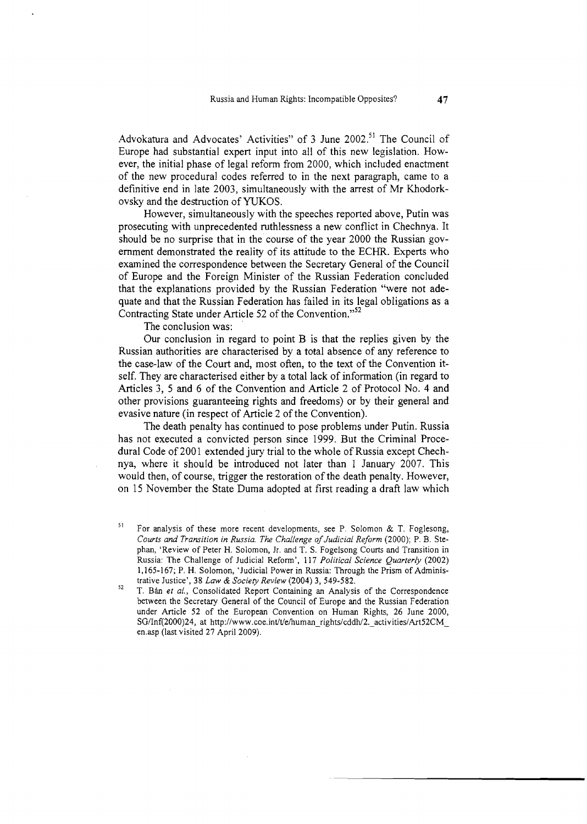Advokatura and Advocates' Activities" of 3 June 2002.<sup>51</sup> The Council of Europe had substantial expert input into all of this new legislation. However, the initial phase of legal reform from 2000, which included enactment of the new procedural codes referred to in the next paragraph, came to a definitive end in late 2003, simultaneously with the arrest of Mr Khodorkovsky and the destruction of YUKOS.

However, simultaneously with the speeches reported above, Putin was prosecuting with unprecedented ruthlessness a new conflict in Chechnya. It should be no surprise that in the course of the year 2000 the Russian government demonstrated the reality of its attitude to the ECHR. Experts who examined the correspondence between the Secretary General of the Council of Europe and the Foreign Minister of the Russian Federation concluded that the explanations provided by the Russian Federation "were not adequate and that the Russian Federation has failed in its legal obligations as a Contracting State under Article 52 of the Convention."<sup>52</sup>

The conclusion was:

Our conclusion in regard to point B is that the replies given by the Russian authorities are characterised by a total absence of any reference to the case-law of the Court and, most often, to the text of the Convention itself. They are characterised either by a total lack of information (in regard to Articles 3, 5 and 6 of the Convention and Article 2 of Protocol No. 4 and other provisions guaranteeing rights and freedoms) or by their general and evasive nature (in respect of Article 2 of the Convention).

The death penalty has continued to pose problems under Putin. Russia has not executed a convicted person since 1999. But the Criminal Procedural Code of 2001 extended jury trial to the whole of Russia except Chechnya, where it should be introduced not later than 1 January 2007. This would then, of course, trigger the restoration of the death penalty. However, on 15 November the State Duma adopted at first reading a draft law which

<sup>&</sup>lt;sup>51</sup> For analysis of these more recent developments, see P. Solomon & T. Foglesong, *Courts and Transition in Russia. The Challenge of Judicial Reform (2000); P. B. Ste*phan, 'Review of Peter H. Solomon, Jr. and T. S. Fogelsong Courts and Transition in Russia: The Challenge of Judicial Reform', 11 7 *Political Science Quarterly* (2002) 1,165-167; P. H. Solomon, 'Judicial Power in Russia: Through the Prism of Administrative Justice', 38 Law & *Sociew Review* (2004) 3, 549-582.

**<sup>52</sup>**T. Bh *et al.,* Consolidated Report Containing an Analysis of the Correspondence between the Secretary General of the Council of Europe and the Russian Federation under Article 52 of the European Convention on Human Rights, 26 June 2000, SG/Inf(2000)24, at http://www.coe.int/t/e/human\_rights/cddh/2.\_activities/Art52CM en.asp (last visited 27 April 2009).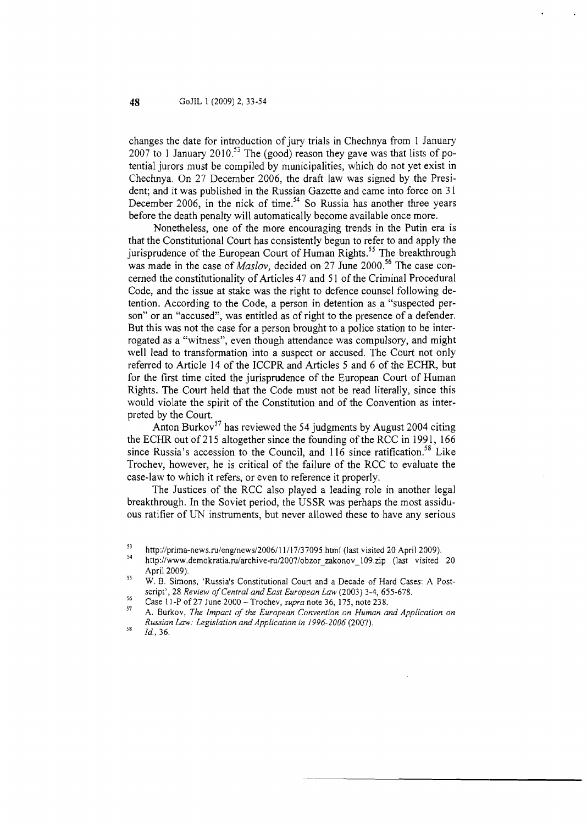changes the date for introduction of jury trials in Chechnya from 1 January 2007 to 1 January 2010.<sup>53</sup> The (good) reason they gave was that lists of potential jurors must be compiled by municipalities, which do not yet exist in Chechnya. On 27 December 2006, the draft law was signed by the President; and it was published in the Russian Gazette and came into force on 3 1 December 2006, in the nick of time.<sup>54</sup> So Russia has another three years before the death penalty will automatically become available once more.

Nonetheless, one of the more encouraging trends in the Putin era is that the Constitutional Court has consistently begun to refer to and apply the jurisprudence of the European Court of Human Rights.<sup>55</sup> The breakthrough was made in the case of *Maslov*, decided on 27 June 2000.<sup>56</sup> The case concerned the constitutionality of Articles 47 and 5 1 of the Criminal Procedural Code, and the issue at stake was the right to defence counsel following detention. According to the Code, a person in detention as a "suspected person" or an "accused", was entitled as of right to the presence of a defender. But this was not the case for a person brought to a police station to be interrogated as a "witness", even though attendance was compulsory, and might well lead to transformation into a suspect or accused. The Court not only referred to Article 14 of the ICCPR and Articles **5** and 6 of the ECHR, but for the first time cited the jurisprudence of the European Court of Human Rights. The Court held that the Code must not be read literally, since this would violate the spirit of the Constitution and of the Convention as interpreted by the Court.

Anton Burkov<sup>57</sup> has reviewed the 54 judgments by August 2004 citing the ECHR out of 215 altogether since the founding of the RCC in 1991, 166 since Russia's accession to the Council, and  $116$  since ratification.<sup>58</sup> Like Trochev, however, he is critical of the failure of the RCC to evaluate the case-law to which it refers, or even to reference it properly.

The Justices of the RCC also played a leading role in another legal breakthrough. In the Soviet period, the USSR was perhaps the most assiduous ratifier of UN instruments, but never allowed these to have any serious

<sup>&</sup>lt;sup>53</sup>http://prima-news.ru/eng/news/2006/11/17/37095.html (last visited 20 April 2009).<br><sup>54</sup> http://www.demokratia.ru/archive-ru/2007/obzor\_zakonov\_109.zip (last visited 20 April 2009).

**<sup>55</sup>** W. B. Simons, 'Russia's Constitutional Court and a Decade of Hard Cases: **A** Postscript', 28 *Review of Central and East European Law* (2003) 3-4, 655-678.<br>Case 11-P of 27 June 2000 - Trochev, *supra* note 36, 175, note 238.

<sup>&</sup>lt;sup>56</sup> Case 11-P of 27 June 2000 - Trochev, *supra* note 36, 175, note 238.<br><sup>57</sup> A. Burkov, *The Impact of the European Convention on Human and Application on Russian Law: Legislation and Application in 1996-2006* (2007).

**<sup>58</sup>***Id..* 36.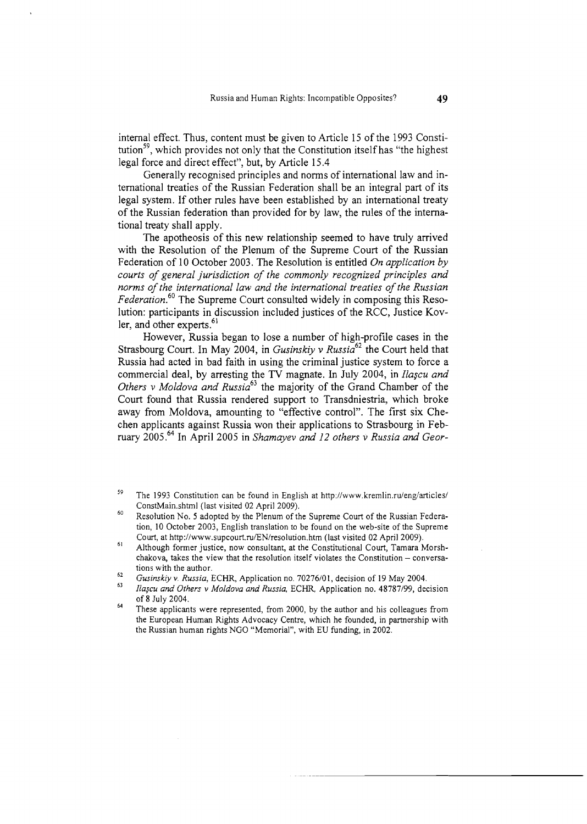internal effect. Thus, content must be given to Article 15 of the 1993 Constitution<sup>59</sup>, which provides not only that the Constitution itself has "the highest legal force and direct effect", but, by Article 15.4

Generally recognised principles and norms of international law and international treaties of the Russian Federation shall be an integral part of its legal system. If other rules have been established by an international treaty of the Russian federation than provided for by law, the rules of the international treaty shall apply.

The apotheosis of this new relationship seemed to have truly arrived with the Resolution of the Plenum of the Supreme Court of the Russian Federation of 10 October 2003. The Resolution is entitled *On application by courts of general jurisdiction of the commonly recognized principles and norms of the international law and the international treaties of the Russian*  Federation.<sup>60</sup> The Supreme Court consulted widely in composing this Resolution: participants in discussion included justices of the RCC, Justice Kovler, and other experts.<sup>61</sup>

However, Russia began to lose a number of high-profile cases in the Strasbourg Court. In May 2004, in *Gusinskiy v Russia*<sup>62</sup> the Court held that Russia had acted in bad faith in using the criminal justice system to force a commercial deal, by arresting the TV magnate. Ln July 2004, in *Ilagcu and Others v Moldova and Russia*<sup>93</sup> the majority of the Grand Chamber of the Court found that Russia rendered support to Transdniestria, which broke away from Moldova, amounting to "effective control". The first six Chechen applicants against Russia won their applications to Strasbourg in February 2005.<sup>64</sup> In April 2005 in *Shamayev and 12 others v Russia and Geor-*

**<sup>59</sup>**The 1993 Constitution can be found in English at http://www.kremlin.ru/eng/articles/ ConstMain.shtm1 (last visited 02 April 2009).

<sup>&</sup>lt;sup>60</sup>Resolution No. 5 adopted by the Plenum of the Supreme Court of the Russian Federation, 10 October 2003, English translation to be found on the web-site of the Supreme Court, at http://www.supcourt.ru/EN/resolution.htm (last visited 02 April 2009).

<sup>61</sup> Although former justice, now consultant, at the Constitutional Court, Tamara Morshchakova, takes the view that the resolution itself violates the Constitution  $-$  conversations with the author.

tions with the author. **<sup>62</sup>***Gusimkiy v. Russia,* ECHR, Application no. 70276101, decision of 19 May 2004.

*Ilagcu and Others* **v** *Moldova and Russia,* ECHR, Application no. 48787199, decision of 8 July 2004.

<sup>&</sup>lt;sup>64</sup>These applicants were represented, from 2000, by the author and his colleagues from the European Human Rights Advocacy Centre, which he founded, in partnership with the Russian human rights NGO "Memorial", with EU funding, in 2002.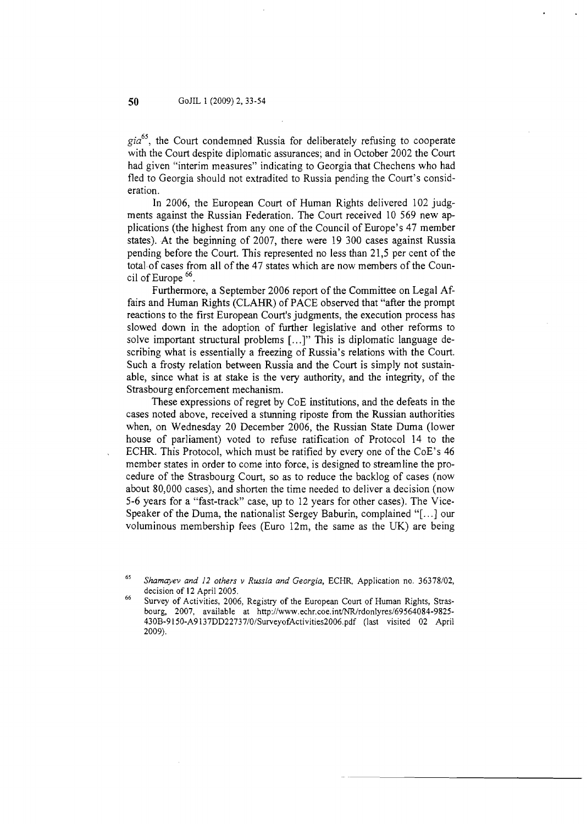*@a6',* the Court condemned Russia for deliberately refusing to cooperate with the Court despite diplomatic assurances; and in October 2002 the Court had given "interim measures" indicating to Georgia that Chechens who had fled to Georgia should not extradited to Russia pending the Court's consideration.

In 2006, the European Court of Human Rights delivered 102 judgments against the Russian Federation. The Court received 10 569 new applications (the highest from any one of the Council of Europe's 47 member states). At the beginning of 2007, there were 19 300 cases against Russia pending before the Court. This represented no less than 21,5 per cent of the total of cases from all of the 47 states which are now members of the Council of Europe *66.* 

Furthermore, a September 2006 report of the Committee on Legal Affairs and Human Rights (CLAHR) of PACE observed that "after the prompt reactions to the first European Court's judgments, the execution process has slowed down in the adoption of further legislative and other reforms to solve important structural problems [...I" This is diplomatic language describing what is essentially a freezing of Russia's relations with the Court. Such a frosty relation between Russia and the Court is simply not sustainable, since what is at stake is the very authority, and the integrity, of the Strasbourg enforcement mechanism.

These expressions of regret by CoE institutions, and the defeats in the cases noted above, received a stunning riposte from the Russian authorities when, on Wednesday 20 December 2006, the Russian State Duma (lower house of parliament) voted to refuse ratification of Protocol 14 to the ECHR. This Protocol, which must be ratified by every one of the CoE's 46 member states in order to come into force, is designed to streamline the procedure of the Strasbourg Court, so as to reduce the backlog of cases (now about 80,000 cases), and shorten the time needed to deliver a decision (now 5-6 years for a "fast-track" case, up to 12 years for other cases). The Vice-Speaker of the Duma, the nationalist Sergey Baburin, complained "[. . .] our voluminous membership fees (Euro 12m, the same as the UK) are being

Shamayev and 12 others v Russia and Georgia, ECHR, Application no. 36378/02, decision of 12 April 2005.

Survey of Activities, 2006, Registry of the European Court of Human Rights, Strasbourg, 2007, available at http://www.echr.coe.int/NR/rdonlyres/69564084-9825- 430B-9 150-A9 **137DD22737/0/SurveyofActivities2006.pdf** (last visited 02 April 2009).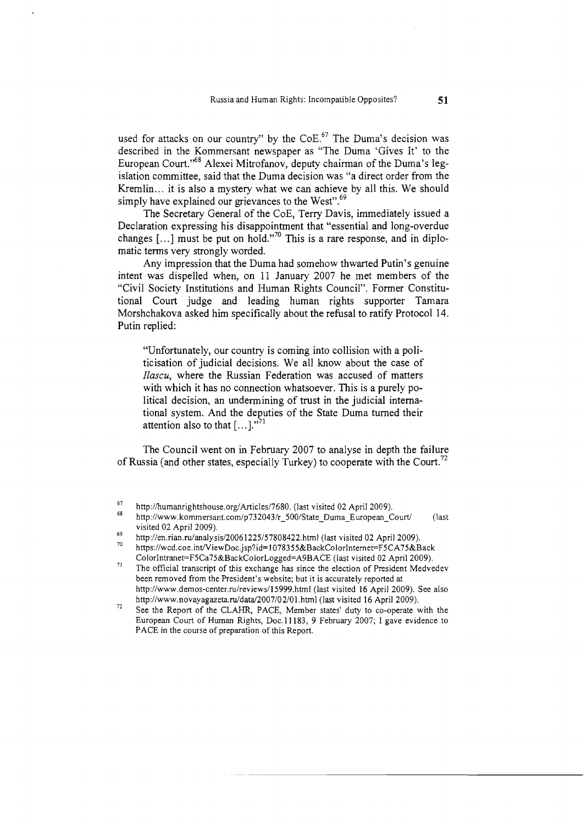used for attacks on our country" by the  $CoE<sup>67</sup>$  The Duma's decision was described in the Kommersant newspaper as "The Duma 'Gives It' to the European Court."<sup>68</sup> Alexei Mitrofanov, deputy chairman of the Duma's legislation committee, said that the Duma decision was "a direct order from the Kremlin.. . it is also a mystery what we can achieve by all this. We should simply have explained our grievances to the West".<sup>69</sup>

The Secretary General of the CoE, Terry Davis, immediately issued a Declaration expressing his disappointment that "essential and long-overdue changes  $[\dots]$  must be put on hold."<sup>70</sup> This is a rare response, and in diplomatic terms very strongly worded.

Any impression that the Duma had somehow thwarted Putin's genuine intent was dispelled when, on 11 January 2007 he met members of the "Civil Society Institutions and Human Rights Council". Former Constitutional Court judge and leading human rights supporter Tamara Morshchakova asked him specifically about the refusal to ratify Protocol 14. Putin replied:

"Unfortunately, our country is coming into collision with a politicisation of judicial decisions. We all know about the case of *Ilascu,* where the Russian Federation was accused of matters with which it has no connection whatsoever. This is a purely political decision, an undermining of trust in the judicial international system. And the deputies of the State Duma turned their attention also to that  $[\dots]^{n^{71}}$ 

The Council went on in February 2007 to analyse in depth the failure of Russia (and other states, especially Turkey) to cooperate with the Court.<sup>72</sup>

<sup>71</sup> The official transcript of this exchange has since the election of President Medvedev been removed from the President's website; but it is accurately reported at **http://www.demos-center.ru/reviews/l5999.html** (last visited 16 April **2009).** See also

<sup>72</sup> See the Report of the CLAHR, PACE, Member states' duty to co-operate with the European Court of Human Rights, Doc.11183, **9** February **2007; I** gave evidence to PACE in the course of preparation of this Report.

<sup>&</sup>lt;sup>67</sup> http://humanrightshouse.org/Articles/7680. (last visited 02 April 2009).

**<sup>68</sup>http://www.kommersant.com/p732043/r~5OO/State~Duma~European~Courti** (last visited **02** April **2009).** 

<sup>&</sup>lt;sup>69</sup>http://en.rian.ru/analysis/20061225/57808422.html (last visited 02 April 2009).<br><sup>70</sup>https://wcd.coe.int/ViewDoc.jsp?id=1078355&BackColorInternet=F5CA75&Back **ColorIntranet=F5Ca75&BackColorLogged=A9BACE** (last visited **02** April **2009).**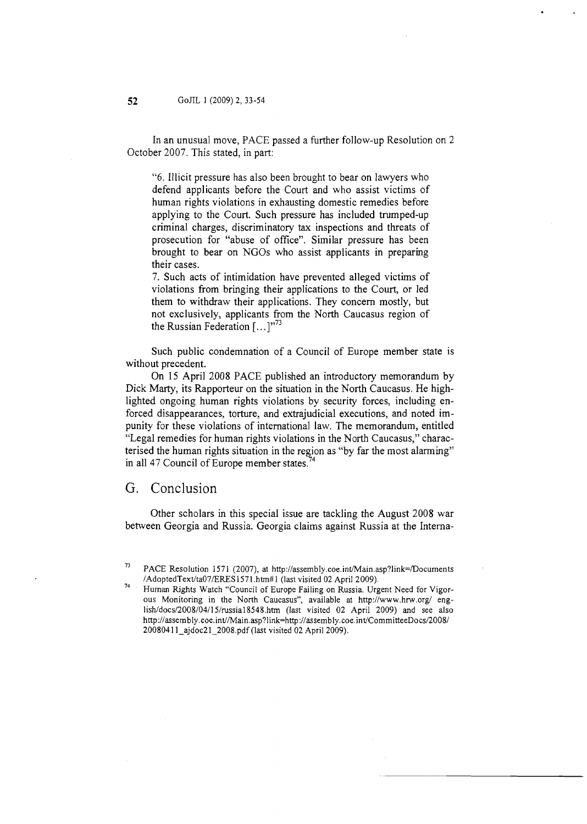In an unusual move, PACE passed a further follow-up Resolution on 2 October 2007. This stated, in part:

"6. Illicit pressure has also been brought to bear on lawyers who defend applicants before the Court and who assist victims of human rights violations in exhausting domestic remedies before applying to the Court. Such pressure has included trumped-up criminal charges, discriminatory tax inspections and threats of prosecution for "abuse of office". Similar pressure has been brought to bear on NGOs who assist applicants in preparing their cases.

7. Such acts of intimidation have prevented alleged victims of violations from bringing their applications to the Court, or led them to withdraw their applications. They concern mostly, but not exclusively, applicants from the North Caucasus region of the Russian Federation [. . **.]"73** 

Such public condemnation of a Council of Europe member state is without precedent.

On 15 April 2008 PACE published an introductory memorandum by Dick Marty, its Rapporteur on the situation in the North Caucasus. He highlighted ongoing human rights violations by security forces, including enforced disappearances, torture, and extrajudicial executions, and noted impunity for these violations of international law. The memorandum, entitled "Legal remedies for human rights violations in the North Caucasus," characterised the human rights situation in the region as "by far the most alarming" in all 47 Council of Europe member states.<sup>7</sup>

### G. Conclusion

Other scholars in this special issue are tackling the August 2008 war between Georgia and Russia. Georgia claims against Russia at the Interna-

PACE Resolution 1571 (2007), at http://assembly.coe.int/Main.asp?link=/Documents

/AdoptedText/ta07/ERES1571.htm#1 (last visited 02 April 2009).<br>Human Rights Watch "Council of Europe Failing on Russia. Urgent Need for Vigorous Monitoring in the North Caucasus", available at http://www.hrw.org/ eng**lishldocsl2008/04/15/russia18548.htm** (last visited 02 April 2009) and see also http://assembly.coe.int//Main.asp?1ink=http://assembly.coe.int/CommitteeDocs/2008/ 20080411\_ajdoc21\_2008.pdf (last visited 02 April 2009).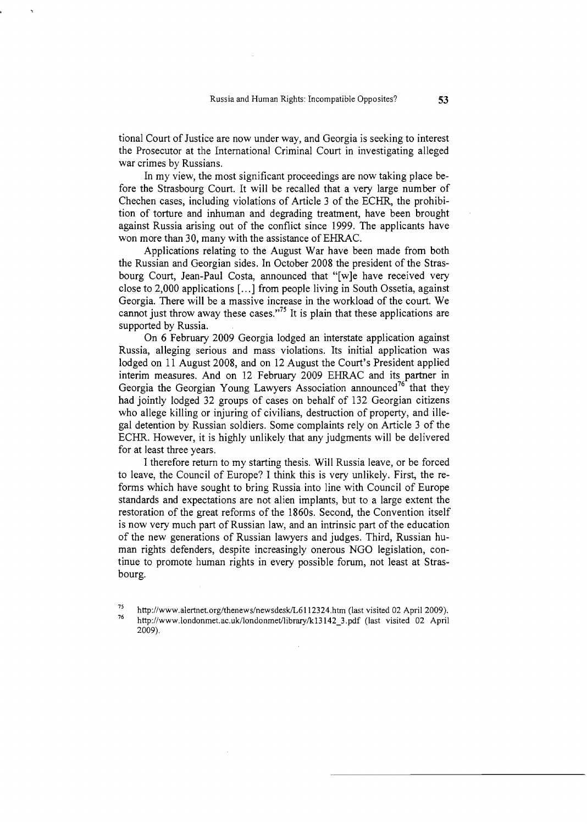tional Court of Justice are now under way, and Georgia is seeking to interest the Prosecutor at the International Criminal Court in investigating alleged war crimes by Russians.

In my view, the most significant proceedings are now taking place before the Strasbourg Court. It will be recalled that a very large number of Chechen cases, including violations of Article 3 of the ECHR, the prohibition of torture and inhuman and degrading treatment, have been brought against Russia arising out of the conflict since 1999. The applicants have won more than 30, many with the assistance of EHRAC.

Applications relating to the August War have been made from both the Russian and Georgian sides. In October 2008 the president of the Strasbourg Court, Jean-Paul Costa, announced that "[wle have received very close to 2,000 applications [. . .] from people living in South Ossetia, against Georgia. There will be a massive increase in the workload of the court. We cannot just throw away these cases."<sup>75</sup> It is plain that these applications are supported by Russia.

On 6 February 2009 Georgia lodged an interstate application against Russia, alleging serious and mass violations. Its initial application was lodged on 11 August 2008, and on 12 August the Court's President applied interim measures. And on 12 February 2009 EHRAC and its partner in Georgia the Georgian Young Lawyers Association announced<sup>76</sup> that they had jointly lodged 32 groups of cases on behalf of 132 Georgian citizens who allege killing or injuring of civilians, destruction of property, and illegal detention by Russian soldiers. Some complaints rely on Article 3 of the ECHR. However, it is highly unlikely that any judgments will be delivered for at least three years.

I therefore return to my starting thesis. Will Russia leave, or be forced to leave, the Council of Europe? I think this is very unlikely. First, the reforms which have sought to bring Russia into line with Council of Europe standards and expectations are not alien implants, but to a large extent the restoration of the great reforms of the 1860s. Second, the Convention itself is now very much part of Russian law, and an intrinsic part of the education of the new generations of Russian lawyers and judges. Third, Russian human rights defenders, despite increasingly onerous NGO legislation, continue to promote human rights in every possible forum, not least at Strasbourg.

<sup>&</sup>lt;sup>75</sup>http://www.alertnet.org/thenews/newsdesk/L6112324.htm (last visited 02 April 2009).<br><sup>76</sup> http://www.londonmet.ac.uk/londonmet/library/k13142\_3.pdf (last visited 02 April 2009).